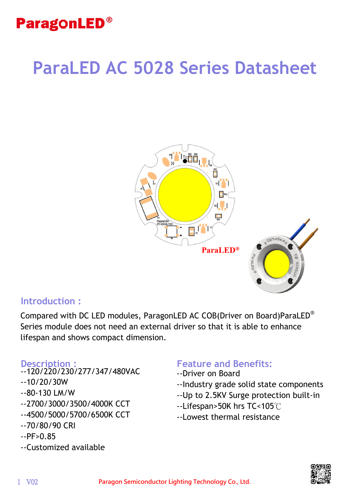# **ParaLED AC 5028 Series Datasheet**



#### **Introduction :**

Compared with DC LED modules, ParagonLED AC COB(Driver on Board)ParaLED® Series module does not need an external driver so that it is able to enhance lifespan and shows compact dimension.

- --120/220/230/277/347/480VAC --10/20/30W
- --80-130 LM/W
- --2700/3000/3500/4000K CCT
- --4500/5000/5700/6500K CCT
- --70/80/90 CRI
- $-$ PF $> 0.85$
- --Customized available

#### **Description : Feature and Benefits:**

- --Driver on Board
- --Industry grade solid state components
- --Up to 2.5KV Surge protection built-in
- --Lifespan>50K hrs TC<105℃
- --Lowest thermal resistance

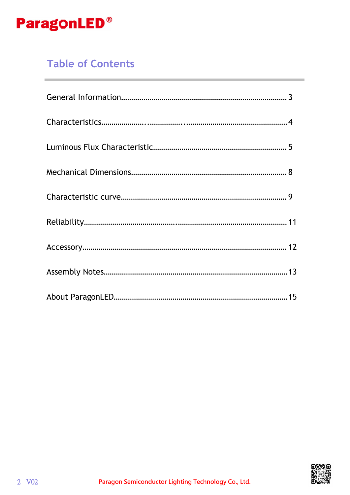

## **Table of Contents**

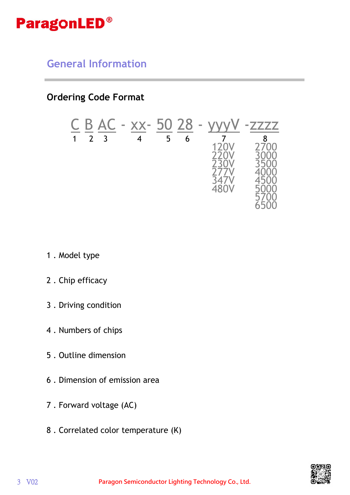

**General Information**

**Ordering Code Format**



- 1 . Model type
- 2 . Chip efficacy
- 3 . Driving condition
- 4 . Numbers of chips
- 5 . Outline dimension
- 6 . Dimension of emission area
- 7 . Forward voltage (AC)
- 8 . Correlated color temperature (K)

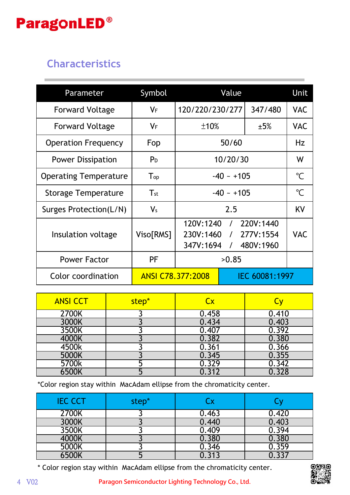

## **Characteristics**

| Parameter                    | Symbol                     | Value                                                                                                          |  |                      | Unit       |
|------------------------------|----------------------------|----------------------------------------------------------------------------------------------------------------|--|----------------------|------------|
| <b>Forward Voltage</b>       | $V_F$                      | 120/220/230/277                                                                                                |  | 347/480              | <b>VAC</b> |
| <b>Forward Voltage</b>       | $V_F$                      | ±10%                                                                                                           |  | ±5%                  | <b>VAC</b> |
| <b>Operation Frequency</b>   | Fop                        | 50/60                                                                                                          |  | Hz                   |            |
| <b>Power Dissipation</b>     | P <sub>D</sub>             | 10/20/30                                                                                                       |  |                      | W          |
| <b>Operating Temperature</b> | $\mathsf{T}_{\mathsf{op}}$ | $-40 - +105$                                                                                                   |  | $\mathrm{C}^{\circ}$ |            |
| <b>Storage Temperature</b>   | $T_{st}$                   | $-40 - +105$                                                                                                   |  | $\mathrm{C}$         |            |
| Surges Protection(L/N)       | $V_{s}$                    | 2.5                                                                                                            |  | <b>KV</b>            |            |
| Insulation voltage           | Viso[RMS]                  | 220V:1440<br>120V:1240<br>$\prime$<br>230V:1460<br>277V:1554<br>$\prime$<br>347V:1694<br>480V:1960<br>$\prime$ |  | <b>VAC</b>           |            |
| <b>Power Factor</b>          | PF                         | >0.85                                                                                                          |  |                      |            |
| Color coordination           | <b>ANSI C78.377:2008</b>   |                                                                                                                |  | IEC 60081:1997       |            |

| <b>ANSI CCT</b> | step* | Сx    |       |
|-----------------|-------|-------|-------|
| 2700K           |       | 0.458 | 0.410 |
| 3000K           |       | 0.434 | 0.403 |
| 3500K           |       | 0.407 | 0.392 |
| 4000K           |       | 0.382 | 0.380 |
| 4500k           |       | 0.361 | 0.366 |
| 5000K           |       | 0.345 | 0.355 |
| 5700k           |       | 0.329 | 0.342 |
| 6500K           |       |       | 0.328 |

\*Color region stay within MacAdam ellipse from the chromaticity center.

| <b>IEC CCT</b> | step* | Сх    |       |
|----------------|-------|-------|-------|
| 2700K          |       | 0.463 | 0.420 |
| 3000K          |       | 0.440 | 0.403 |
| 3500K          |       | 0.409 | 0.394 |
| 4000K          |       | 0.380 | 0.380 |
| 5000K          |       | 0.346 | 0.359 |
| <b>5500K</b>   |       |       |       |

\* Color region stay within MacAdam ellipse from the chromaticity center.

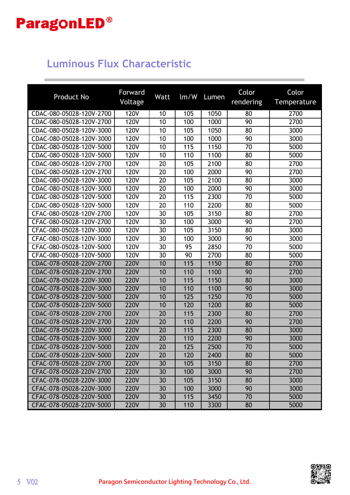## **Luminous Flux Characteristic**

| <b>Product No</b>        | Forward<br>Voltage | Watt            | $\text{Im}/\text{W}$ | Lumen | Color<br>rendering | Color<br>Temperature |
|--------------------------|--------------------|-----------------|----------------------|-------|--------------------|----------------------|
| CDAC-080-05028-120V-2700 | <b>120V</b>        | 10              | 105                  | 1050  | 80                 | 2700                 |
| CDAC-080-05028-120V-2700 | <b>120V</b>        | 10              | 100                  | 1000  | 90                 | 2700                 |
| CDAC-080-05028-120V-3000 | <b>120V</b>        | 10              | 105                  | 1050  | 80                 | 3000                 |
| CDAC-080-05028-120V-3000 | <b>120V</b>        | 10              | 100                  | 1000  | 90                 | 3000                 |
| CDAC-080-05028-120V-5000 | <b>120V</b>        | 10              | 115                  | 1150  | 70                 | 5000                 |
| CDAC-080-05028-120V-5000 | <b>120V</b>        | 10              | 110                  | 1100  | 80                 | 5000                 |
| CDAC-080-05028-120V-2700 | <b>120V</b>        | 20              | 105                  | 2100  | 80                 | 2700                 |
| CDAC-080-05028-120V-2700 | <b>120V</b>        | 20              | 100                  | 2000  | 90                 | 2700                 |
| CDAC-080-05028-120V-3000 | <b>120V</b>        | 20              | 105                  | 2100  | 80                 | 3000                 |
| CDAC-080-05028-120V-3000 | <b>120V</b>        | 20              | 100                  | 2000  | 90                 | 3000                 |
| CDAC-080-05028-120V-5000 | <b>120V</b>        | 20              | 115                  | 2300  | 70                 | 5000                 |
| CDAC-080-05028-120V-5000 | <b>120V</b>        | 20              | 110                  | 2200  | 80                 | 5000                 |
| CFAC-080-05028-120V-2700 | <b>120V</b>        | 30              | 105                  | 3150  | 80                 | 2700                 |
| CFAC-080-05028-120V-2700 | <b>120V</b>        | 30              | 100                  | 3000  | 90                 | 2700                 |
| CFAC-080-05028-120V-3000 | <b>120V</b>        | 30              | 105                  | 3150  | 80                 | 3000                 |
| CFAC-080-05028-120V-3000 | <b>120V</b>        | 30              | 100                  | 3000  | 90                 | 3000                 |
| CFAC-080-05028-120V-5000 | <b>120V</b>        | 30              | 95                   | 2850  | 70                 | 5000                 |
| CFAC-080-05028-120V-5000 | <b>120V</b>        | 30              | 90                   | 2700  | 80                 | 5000                 |
| CDAC-078-05028-220V-2700 | <b>220V</b>        | 10              | 115                  | 1150  | 80                 | 2700                 |
| CDAC-078-05028-220V-2700 | <b>220V</b>        | 10              | 110                  | 1100  | 90                 | 2700                 |
| CDAC-078-05028-220V-3000 | <b>220V</b>        | 10              | 115                  | 1150  | 80                 | 3000                 |
| CDAC-078-05028-220V-3000 | <b>220V</b>        | 10              | 110                  | 1100  | 90                 | 3000                 |
| CDAC-078-05028-220V-5000 | <b>220V</b>        | 10              | 125                  | 1250  | 70                 | 5000                 |
| CDAC-078-05028-220V-5000 | <b>220V</b>        | 10              | 120                  | 1200  | 80                 | 5000                 |
| CDAC-078-05028-220V-2700 | <b>220V</b>        | 20              | 115                  | 2300  | 80                 | 2700                 |
| CDAC-078-05028-220V-2700 | <b>220V</b>        | 20              | 110                  | 2200  | 90                 | 2700                 |
| CDAC-078-05028-220V-3000 | <b>220V</b>        | 20              | 115                  | 2300  | 80                 | 3000                 |
| CDAC-078-05028-220V-3000 | <b>220V</b>        | 20              | 110                  | 2200  | 90                 | 3000                 |
| CDAC-078-05028-220V-5000 | <b>220V</b>        | $\overline{20}$ | 125                  | 2500  | $\overline{70}$    | 5000                 |
| CDAC-078-05028-220V-5000 | <b>220V</b>        | 20              | 120                  | 2400  | 80                 | 5000                 |
| CFAC-078-05028-220V-2700 | <b>220V</b>        | 30              | 105                  | 3150  | 80                 | 2700                 |
| CFAC-078-05028-220V-2700 | <b>220V</b>        | 30              | 100                  | 3000  | 90                 | 2700                 |
| CFAC-078-05028-220V-3000 | <b>220V</b>        | 30              | 105                  | 3150  | 80                 | 3000                 |
| CFAC-078-05028-220V-3000 | <b>220V</b>        | 30              | 100                  | 3000  | 90                 | 3000                 |
| CFAC-078-05028-220V-5000 | <b>220V</b>        | 30              | 115                  | 3450  | 70                 | 5000                 |
| CFAC-078-05028-220V-5000 | <b>220V</b>        | 30              | 110                  | 3300  | 80                 | 5000                 |

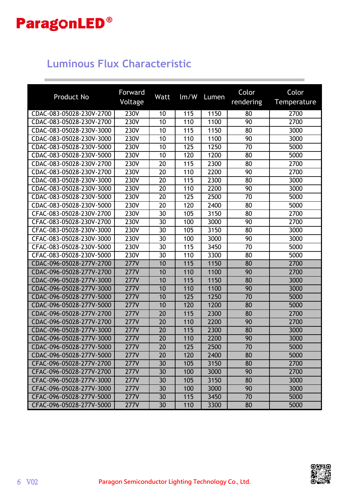## **Luminous Flux Characteristic**

| <b>Product No</b>        | Forward<br>Voltage | Watt            | $\text{Im}/\text{W}$ | Lumen | Color<br>rendering | Color<br>Temperature |
|--------------------------|--------------------|-----------------|----------------------|-------|--------------------|----------------------|
| CDAC-083-05028-230V-2700 | <b>230V</b>        | 10              | 115                  | 1150  | 80                 | 2700                 |
| CDAC-083-05028-230V-2700 | 230V               | 10              | 110                  | 1100  | 90                 | 2700                 |
| CDAC-083-05028-230V-3000 | 230V               | 10              | 115                  | 1150  | 80                 | 3000                 |
| CDAC-083-05028-230V-3000 | 230V               | 10              | 110                  | 1100  | 90                 | 3000                 |
| CDAC-083-05028-230V-5000 | 230V               | 10              | 125                  | 1250  | 70                 | 5000                 |
| CDAC-083-05028-230V-5000 | <b>230V</b>        | 10              | 120                  | 1200  | 80                 | 5000                 |
| CDAC-083-05028-230V-2700 | 230V               | 20              | 115                  | 2300  | 80                 | 2700                 |
| CDAC-083-05028-230V-2700 | 230V               | 20              | 110                  | 2200  | 90                 | 2700                 |
| CDAC-083-05028-230V-3000 | 230V               | 20              | 115                  | 2300  | 80                 | 3000                 |
| CDAC-083-05028-230V-3000 | <b>230V</b>        | 20              | 110                  | 2200  | 90                 | 3000                 |
| CDAC-083-05028-230V-5000 | 230V               | 20              | 125                  | 2500  | 70                 | 5000                 |
| CDAC-083-05028-230V-5000 | 230V               | 20              | 120                  | 2400  | 80                 | 5000                 |
| CFAC-083-05028-230V-2700 | 230V               | 30              | 105                  | 3150  | 80                 | 2700                 |
| CFAC-083-05028-230V-2700 | <b>230V</b>        | 30              | 100                  | 3000  | 90                 | 2700                 |
| CFAC-083-05028-230V-3000 | 230V               | 30              | 105                  | 3150  | 80                 | 3000                 |
| CFAC-083-05028-230V-3000 | <b>230V</b>        | 30              | 100                  | 3000  | 90                 | 3000                 |
| CFAC-083-05028-230V-5000 | <b>230V</b>        | 30              | 115                  | 3450  | 70                 | 5000                 |
| CFAC-083-05028-230V-5000 | 230V               | 30              | 110                  | 3300  | 80                 | 5000                 |
| CDAC-096-05028-277V-2700 | <b>277V</b>        | 10              | 115                  | 1150  | 80                 | 2700                 |
| CDAC-096-05028-277V-2700 | <b>277V</b>        | 10              | 110                  | 1100  | 90                 | 2700                 |
| CDAC-096-05028-277V-3000 | <b>277V</b>        | 10              | 115                  | 1150  | 80                 | 3000                 |
| CDAC-096-05028-277V-3000 | <b>277V</b>        | 10              | 110                  | 1100  | 90                 | 3000                 |
| CDAC-096-05028-277V-5000 | <b>277V</b>        | 10              | 125                  | 1250  | 70                 | 5000                 |
| CDAC-096-05028-277V-5000 | <b>277V</b>        | 10              | 120                  | 1200  | 80                 | 5000                 |
| CDAC-096-05028-277V-2700 | <b>277V</b>        | 20              | 115                  | 2300  | 80                 | 2700                 |
| CDAC-096-05028-277V-2700 | <b>277V</b>        | 20              | 110                  | 2200  | 90                 | 2700                 |
| CDAC-096-05028-277V-3000 | <b>277V</b>        | 20              | 115                  | 2300  | 80                 | 3000                 |
| CDAC-096-05028-277V-3000 | <b>277V</b>        | 20              | 110                  | 2200  | 90                 | 3000                 |
| CDAC-096-05028-277V-5000 | 277V               | $\overline{20}$ | 125                  | 2500  | $\overline{70}$    | 5000                 |
| CDAC-096-05028-277V-5000 | 277V               | 20              | 120                  | 2400  | 80                 | 5000                 |
| CFAC-096-05028-277V-2700 | <b>277V</b>        | 30              | 105                  | 3150  | 80                 | 2700                 |
| CFAC-096-05028-277V-2700 | 277V               | 30              | 100                  | 3000  | 90                 | 2700                 |
| CFAC-096-05028-277V-3000 | 277V               | 30              | 105                  | 3150  | 80                 | 3000                 |
| CFAC-096-05028-277V-3000 | 277V               | 30              | 100                  | 3000  | 90                 | 3000                 |
| CFAC-096-05028-277V-5000 | 277V               | 30              | 115                  | 3450  | 70                 | 5000                 |
| CFAC-096-05028-277V-5000 | <b>277V</b>        | 30              | 110                  | 3300  | 80                 | 5000                 |

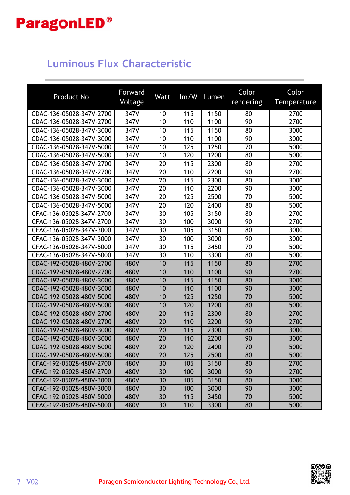## **Luminous Flux Characteristic**

| Product No               | Forward<br>Voltage | Watt            | $\text{Im}/\text{W}$ | Lumen | Color<br>rendering | Color<br>Temperature |
|--------------------------|--------------------|-----------------|----------------------|-------|--------------------|----------------------|
| CDAC-136-05028-347V-2700 | 347V               | 10              | 115                  | 1150  | 80                 | 2700                 |
| CDAC-136-05028-347V-2700 | 347V               | 10              | 110                  | 1100  | 90                 | 2700                 |
| CDAC-136-05028-347V-3000 | 347V               | 10              | 115                  | 1150  | 80                 | 3000                 |
| CDAC-136-05028-347V-3000 | 347V               | 10              | 110                  | 1100  | 90                 | 3000                 |
| CDAC-136-05028-347V-5000 | 347V               | 10              | 125                  | 1250  | 70                 | 5000                 |
| CDAC-136-05028-347V-5000 | 347V               | 10              | 120                  | 1200  | 80                 | 5000                 |
| CDAC-136-05028-347V-2700 | 347V               | 20              | 115                  | 2300  | 80                 | 2700                 |
| CDAC-136-05028-347V-2700 | 347V               | 20              | 110                  | 2200  | 90                 | 2700                 |
| CDAC-136-05028-347V-3000 | 347V               | 20              | 115                  | 2300  | 80                 | 3000                 |
| CDAC-136-05028-347V-3000 | 347V               | 20              | 110                  | 2200  | 90                 | 3000                 |
| CDAC-136-05028-347V-5000 | 347V               | 20              | 125                  | 2500  | 70                 | 5000                 |
| CDAC-136-05028-347V-5000 | 347V               | 20              | 120                  | 2400  | 80                 | 5000                 |
| CFAC-136-05028-347V-2700 | 347V               | 30              | 105                  | 3150  | 80                 | 2700                 |
| CFAC-136-05028-347V-2700 | 347V               | 30              | 100                  | 3000  | 90                 | 2700                 |
| CFAC-136-05028-347V-3000 | 347V               | 30              | 105                  | 3150  | 80                 | 3000                 |
| CFAC-136-05028-347V-3000 | 347V               | 30              | 100                  | 3000  | 90                 | 3000                 |
| CFAC-136-05028-347V-5000 | 347V               | 30              | 115                  | 3450  | 70                 | 5000                 |
| CFAC-136-05028-347V-5000 | 347V               | 30              | 110                  | 3300  | 80                 | 5000                 |
| CDAC-192-05028-480V-2700 | 480V               | 10              | 115                  | 1150  | 80                 | 2700                 |
| CDAC-192-05028-480V-2700 | 480V               | 10              | 110                  | 1100  | 90                 | 2700                 |
| CDAC-192-05028-480V-3000 | 480V               | 10              | 115                  | 1150  | 80                 | 3000                 |
| CDAC-192-05028-480V-3000 | 480V               | 10              | 110                  | 1100  | 90                 | 3000                 |
| CDAC-192-05028-480V-5000 | 480V               | 10              | 125                  | 1250  | 70                 | 5000                 |
| CDAC-192-05028-480V-5000 | 480V               | 10              | 120                  | 1200  | 80                 | 5000                 |
| CDAC-192-05028-480V-2700 | 480V               | 20              | 115                  | 2300  | 80                 | 2700                 |
| CDAC-192-05028-480V-2700 | 480V               | 20              | 110                  | 2200  | 90                 | 2700                 |
| CDAC-192-05028-480V-3000 | 480V               | 20              | 115                  | 2300  | 80                 | 3000                 |
| CDAC-192-05028-480V-3000 | 480V               | 20              | 110                  | 2200  | 90                 | 3000                 |
| CDAC-192-05028-480V-5000 | 480V               | $\overline{20}$ | 120                  | 2400  | $\overline{70}$    | 5000                 |
| CDAC-192-05028-480V-5000 | 480V               | 20              | 125                  | 2500  | 80                 | 5000                 |
| CFAC-192-05028-480V-2700 | 480V               | 30              | 105                  | 3150  | 80                 | 2700                 |
| CFAC-192-05028-480V-2700 | 480V               | 30              | 100                  | 3000  | 90                 | 2700                 |
| CFAC-192-05028-480V-3000 | 480V               | 30              | 105                  | 3150  | 80                 | 3000                 |
| CFAC-192-05028-480V-3000 | 480V               | 30              | 100                  | 3000  | 90                 | 3000                 |
| CFAC-192-05028-480V-5000 | 480V               | 30              | 115                  | 3450  | 70                 | 5000                 |
| CFAC-192-05028-480V-5000 | 480V               | 30              | 110                  | 3300  | 80                 | 5000                 |

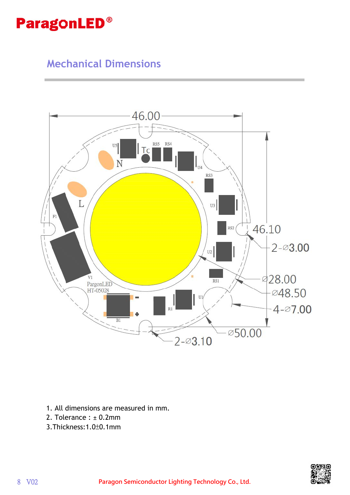## **Mechanical Dimensions**



- 1. All dimensions are measured in mm.
- 2. Tolerance :  $\pm$  0.2mm
- 3.Thickness:1.0±0.1mm

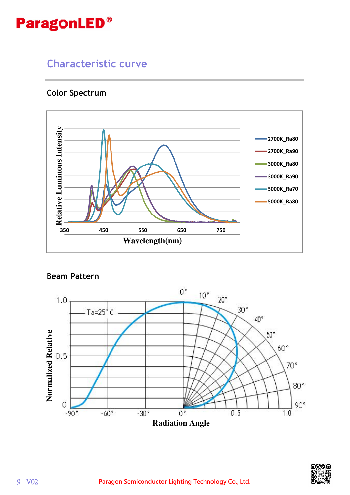

### **Characteristic curve**

#### **Color Spectrum**



**Beam Pattern**



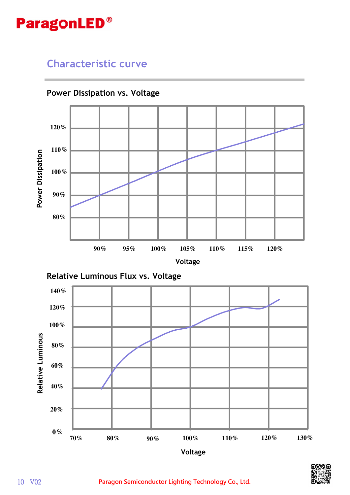### **Characteristic curve**



#### **Power Dissipation vs. Voltage**





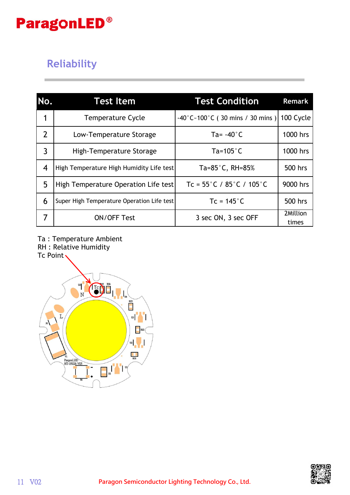## **Reliability**

| No.            | <b>Test Item</b>                           | <b>Test Condition</b>                                  | <b>Remark</b>     |
|----------------|--------------------------------------------|--------------------------------------------------------|-------------------|
| 1              | <b>Temperature Cycle</b>                   | $-40^{\circ}$ C $-100^{\circ}$ C (30 mins / 30 mins )  | 100 Cycle         |
| $\overline{2}$ | Low-Temperature Storage                    | Ta= $-40^{\circ}$ C                                    | 1000 hrs          |
| 3              | High-Temperature Storage                   | Ta=105 $^{\circ}$ C                                    | 1000 hrs          |
| 4              | High Temperature High Humidity Life test   | Ta=85 $^{\circ}$ C, RH=85%                             | 500 hrs           |
| 5              | High Temperature Operation Life test       | Tc = $55^{\circ}$ C / $85^{\circ}$ C / $105^{\circ}$ C | 9000 hrs          |
| 6              | Super High Temperature Operation Life test | $Tc = 145^{\circ}C$                                    | 500 hrs           |
| 7              | <b>ON/OFF Test</b>                         | 3 sec ON, 3 sec OFF                                    | 2Million<br>times |

Ta : Temperature Ambient RH : Relative Humidity Tc Point ·



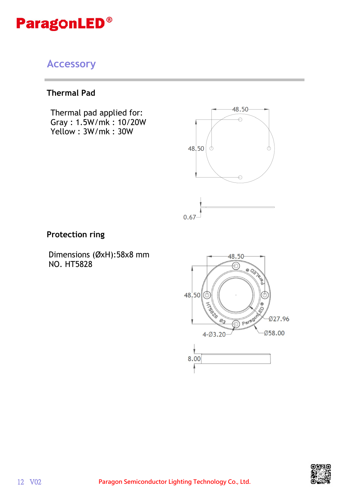### **Accessory**

#### **Thermal Pad**

Thermal pad applied for: Gray : 1.5W/mk : 10/20W Yellow : 3W/mk : 30W



#### **Protection ring**

Dimensions (ØxH):58x8 mm NO. HT5828



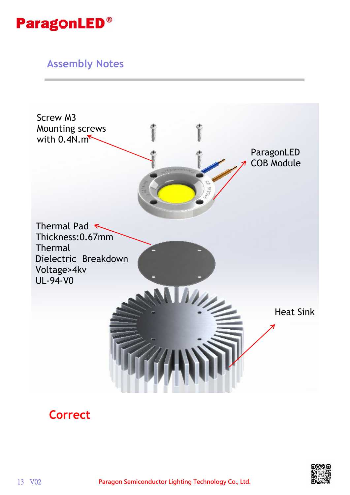

#### **Assembly Notes**



## **Correct**

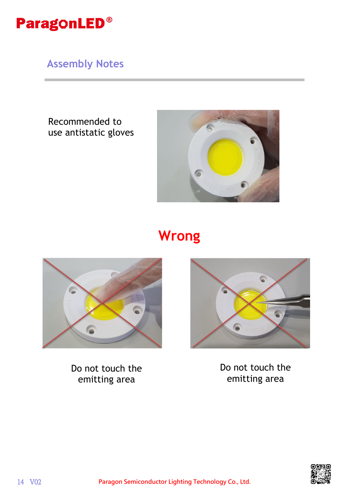

### **Assembly Notes**

Recommended to use antistatic gloves



## **Wrong**



Do not touch the emitting area



Do not touch the emitting area